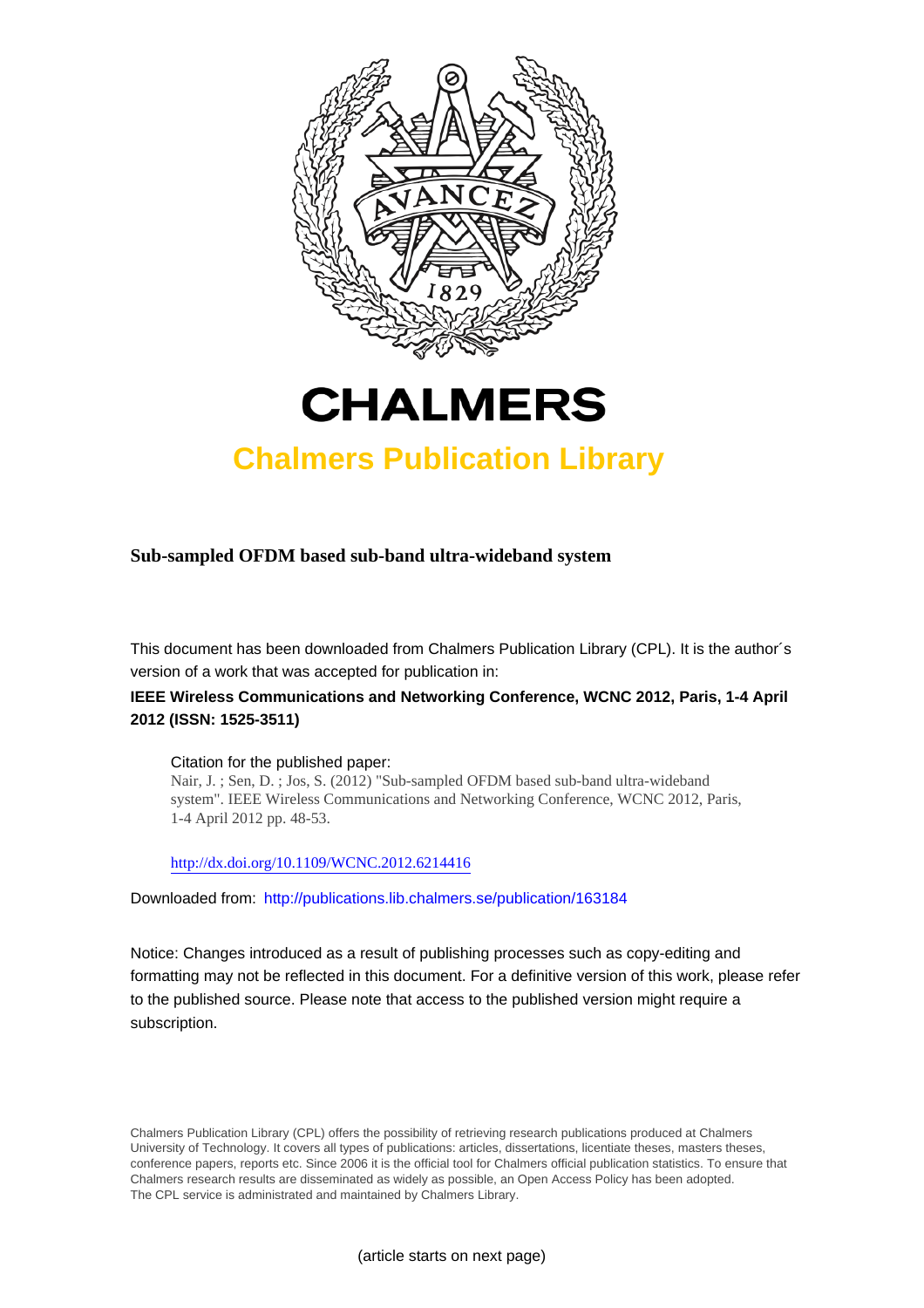



## **Chalmers Publication Library**

**Sub-sampled OFDM based sub-band ultra-wideband system**

This document has been downloaded from Chalmers Publication Library (CPL). It is the author´s version of a work that was accepted for publication in:

### **IEEE Wireless Communications and Networking Conference, WCNC 2012, Paris, 1-4 April 2012 (ISSN: 1525-3511)**

#### Citation for the published paper:

Nair, J. ; Sen, D. ; Jos, S. (2012) "Sub-sampled OFDM based sub-band ultra-wideband system". IEEE Wireless Communications and Networking Conference, WCNC 2012, Paris, 1-4 April 2012 pp. 48-53.

<http://dx.doi.org/10.1109/WCNC.2012.6214416>

Downloaded from: <http://publications.lib.chalmers.se/publication/163184>

Notice: Changes introduced as a result of publishing processes such as copy-editing and formatting may not be reflected in this document. For a definitive version of this work, please refer to the published source. Please note that access to the published version might require a subscription.

Chalmers Publication Library (CPL) offers the possibility of retrieving research publications produced at Chalmers University of Technology. It covers all types of publications: articles, dissertations, licentiate theses, masters theses, conference papers, reports etc. Since 2006 it is the official tool for Chalmers official publication statistics. To ensure that Chalmers research results are disseminated as widely as possible, an Open Access Policy has been adopted. The CPL service is administrated and maintained by Chalmers Library.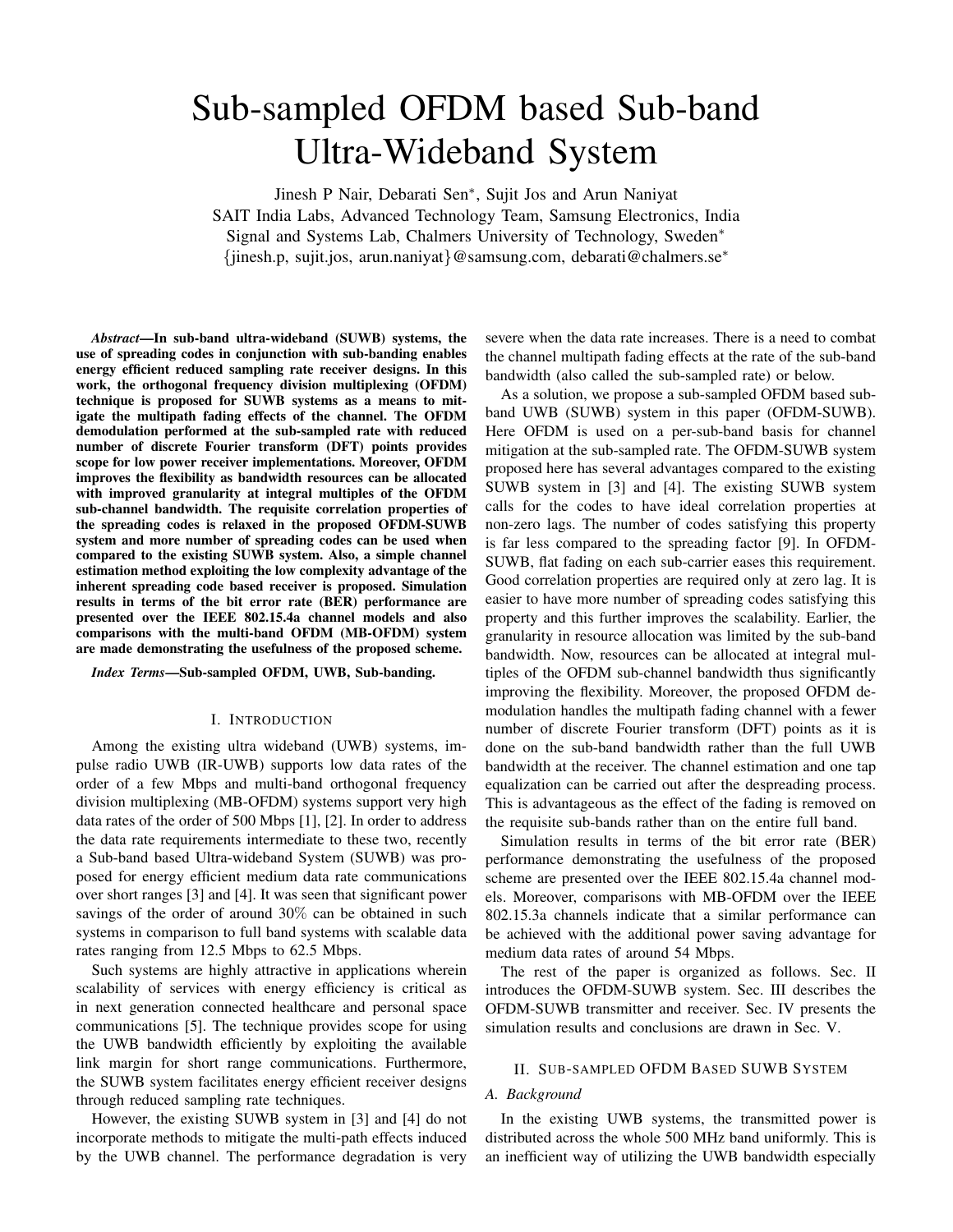# Sub-sampled OFDM based Sub-band Ultra-Wideband System

Jinesh P Nair, Debarati Sen∗, Sujit Jos and Arun Naniyat SAIT India Labs, Advanced Technology Team, Samsung Electronics, India Signal and Systems Lab, Chalmers University of Technology, Sweden∗ {jinesh.p, sujit.jos, arun.naniyat}@samsung.com, debarati@chalmers.se∗

*Abstract***—In sub-band ultra-wideband (SUWB) systems, the use of spreading codes in conjunction with sub-banding enables energy efficient reduced sampling rate receiver designs. In this work, the orthogonal frequency division multiplexing (OFDM) technique is proposed for SUWB systems as a means to mitigate the multipath fading effects of the channel. The OFDM demodulation performed at the sub-sampled rate with reduced number of discrete Fourier transform (DFT) points provides scope for low power receiver implementations. Moreover, OFDM improves the flexibility as bandwidth resources can be allocated with improved granularity at integral multiples of the OFDM sub-channel bandwidth. The requisite correlation properties of the spreading codes is relaxed in the proposed OFDM-SUWB system and more number of spreading codes can be used when compared to the existing SUWB system. Also, a simple channel estimation method exploiting the low complexity advantage of the inherent spreading code based receiver is proposed. Simulation results in terms of the bit error rate (BER) performance are presented over the IEEE 802.15.4a channel models and also comparisons with the multi-band OFDM (MB-OFDM) system are made demonstrating the usefulness of the proposed scheme.**

#### *Index Terms***—Sub-sampled OFDM, UWB, Sub-banding.**

#### I. INTRODUCTION

Among the existing ultra wideband (UWB) systems, impulse radio UWB (IR-UWB) supports low data rates of the order of a few Mbps and multi-band orthogonal frequency division multiplexing (MB-OFDM) systems support very high data rates of the order of 500 Mbps [1], [2]. In order to address the data rate requirements intermediate to these two, recently a Sub-band based Ultra-wideband System (SUWB) was proposed for energy efficient medium data rate communications over short ranges [3] and [4]. It was seen that significant power savings of the order of around 30% can be obtained in such systems in comparison to full band systems with scalable data rates ranging from 12.5 Mbps to 62.5 Mbps.

Such systems are highly attractive in applications wherein scalability of services with energy efficiency is critical as in next generation connected healthcare and personal space communications [5]. The technique provides scope for using the UWB bandwidth efficiently by exploiting the available link margin for short range communications. Furthermore, the SUWB system facilitates energy efficient receiver designs through reduced sampling rate techniques.

However, the existing SUWB system in [3] and [4] do not incorporate methods to mitigate the multi-path effects induced by the UWB channel. The performance degradation is very severe when the data rate increases. There is a need to combat the channel multipath fading effects at the rate of the sub-band bandwidth (also called the sub-sampled rate) or below.

As a solution, we propose a sub-sampled OFDM based subband UWB (SUWB) system in this paper (OFDM-SUWB). Here OFDM is used on a per-sub-band basis for channel mitigation at the sub-sampled rate. The OFDM-SUWB system proposed here has several advantages compared to the existing SUWB system in [3] and [4]. The existing SUWB system calls for the codes to have ideal correlation properties at non-zero lags. The number of codes satisfying this property is far less compared to the spreading factor [9]. In OFDM-SUWB, flat fading on each sub-carrier eases this requirement. Good correlation properties are required only at zero lag. It is easier to have more number of spreading codes satisfying this property and this further improves the scalability. Earlier, the granularity in resource allocation was limited by the sub-band bandwidth. Now, resources can be allocated at integral multiples of the OFDM sub-channel bandwidth thus significantly improving the flexibility. Moreover, the proposed OFDM demodulation handles the multipath fading channel with a fewer number of discrete Fourier transform (DFT) points as it is done on the sub-band bandwidth rather than the full UWB bandwidth at the receiver. The channel estimation and one tap equalization can be carried out after the despreading process. This is advantageous as the effect of the fading is removed on the requisite sub-bands rather than on the entire full band.

Simulation results in terms of the bit error rate (BER) performance demonstrating the usefulness of the proposed scheme are presented over the IEEE 802.15.4a channel models. Moreover, comparisons with MB-OFDM over the IEEE 802.15.3a channels indicate that a similar performance can be achieved with the additional power saving advantage for medium data rates of around 54 Mbps.

The rest of the paper is organized as follows. Sec. II introduces the OFDM-SUWB system. Sec. III describes the OFDM-SUWB transmitter and receiver. Sec. IV presents the simulation results and conclusions are drawn in Sec. V.

#### II. SUB-SAMPLED OFDM BASED SUWB SYSTEM

#### *A. Background*

In the existing UWB systems, the transmitted power is distributed across the whole 500 MHz band uniformly. This is an inefficient way of utilizing the UWB bandwidth especially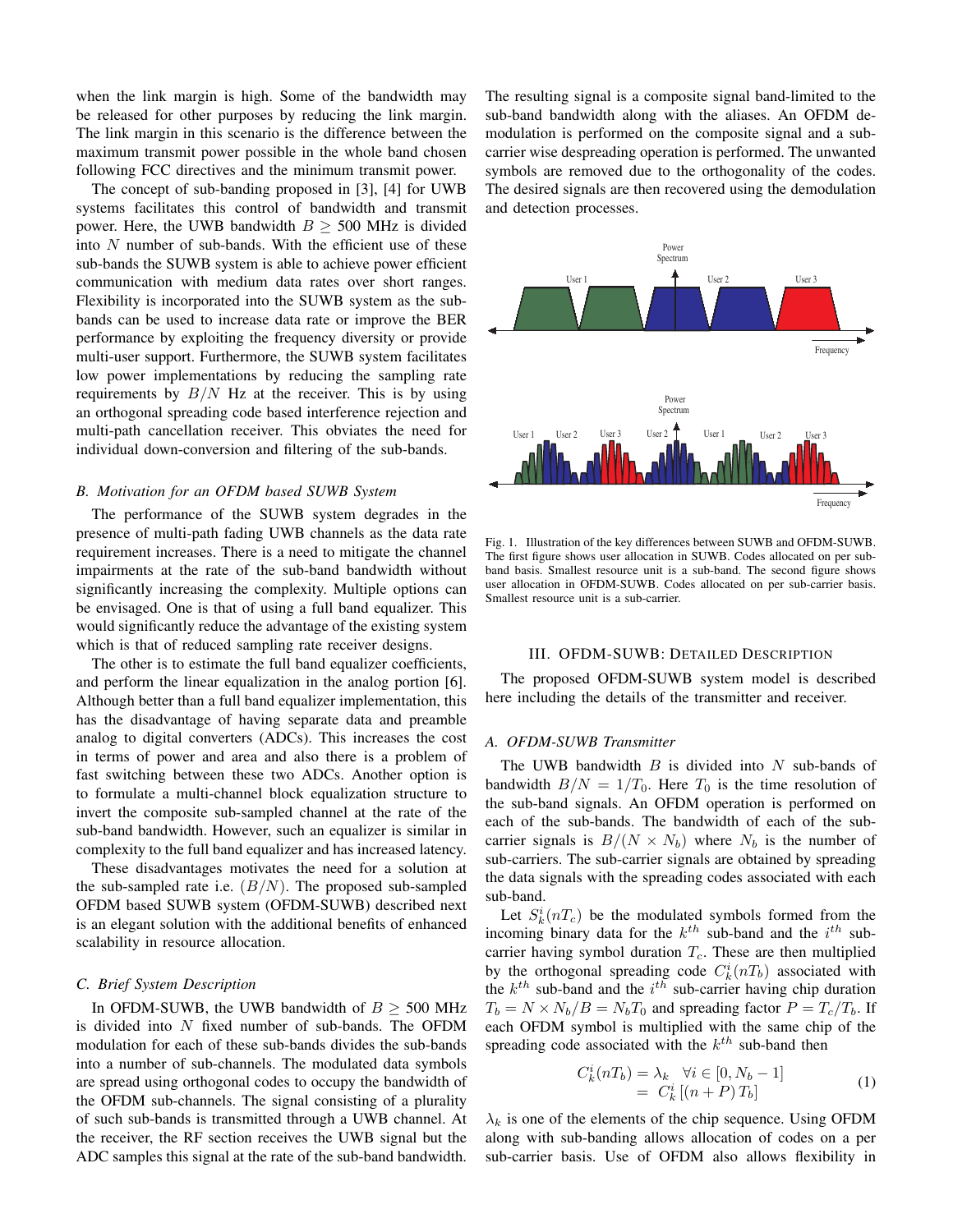when the link margin is high. Some of the bandwidth may be released for other purposes by reducing the link margin. The link margin in this scenario is the difference between the maximum transmit power possible in the whole band chosen following FCC directives and the minimum transmit power.

The concept of sub-banding proposed in [3], [4] for UWB systems facilitates this control of bandwidth and transmit power. Here, the UWB bandwidth  $B \geq 500$  MHz is divided into  $N$  number of sub-bands. With the efficient use of these sub-bands the SUWB system is able to achieve power efficient communication with medium data rates over short ranges. Flexibility is incorporated into the SUWB system as the subbands can be used to increase data rate or improve the BER performance by exploiting the frequency diversity or provide multi-user support. Furthermore, the SUWB system facilitates low power implementations by reducing the sampling rate requirements by  $B/N$  Hz at the receiver. This is by using an orthogonal spreading code based interference rejection and multi-path cancellation receiver. This obviates the need for individual down-conversion and filtering of the sub-bands.

#### *B. Motivation for an OFDM based SUWB System*

The performance of the SUWB system degrades in the presence of multi-path fading UWB channels as the data rate requirement increases. There is a need to mitigate the channel impairments at the rate of the sub-band bandwidth without significantly increasing the complexity. Multiple options can be envisaged. One is that of using a full band equalizer. This would significantly reduce the advantage of the existing system which is that of reduced sampling rate receiver designs.

The other is to estimate the full band equalizer coefficients, and perform the linear equalization in the analog portion [6]. Although better than a full band equalizer implementation, this has the disadvantage of having separate data and preamble analog to digital converters (ADCs). This increases the cost in terms of power and area and also there is a problem of fast switching between these two ADCs. Another option is to formulate a multi-channel block equalization structure to invert the composite sub-sampled channel at the rate of the sub-band bandwidth. However, such an equalizer is similar in complexity to the full band equalizer and has increased latency.

These disadvantages motivates the need for a solution at the sub-sampled rate i.e.  $(B/N)$ . The proposed sub-sampled OFDM based SUWB system (OFDM-SUWB) described next is an elegant solution with the additional benefits of enhanced scalability in resource allocation.

#### *C. Brief System Description*

In OFDM-SUWB, the UWB bandwidth of  $B \geq 500$  MHz is divided into  $N$  fixed number of sub-bands. The OFDM modulation for each of these sub-bands divides the sub-bands into a number of sub-channels. The modulated data symbols are spread using orthogonal codes to occupy the bandwidth of the OFDM sub-channels. The signal consisting of a plurality of such sub-bands is transmitted through a UWB channel. At the receiver, the RF section receives the UWB signal but the ADC samples this signal at the rate of the sub-band bandwidth. The resulting signal is a composite signal band-limited to the sub-band bandwidth along with the aliases. An OFDM demodulation is performed on the composite signal and a subcarrier wise despreading operation is performed. The unwanted symbols are removed due to the orthogonality of the codes. The desired signals are then recovered using the demodulation and detection processes.



Fig. 1. Illustration of the key differences between SUWB and OFDM-SUWB. The first figure shows user allocation in SUWB. Codes allocated on per subband basis. Smallest resource unit is a sub-band. The second figure shows user allocation in OFDM-SUWB. Codes allocated on per sub-carrier basis. Smallest resource unit is a sub-carrier.

#### III. OFDM-SUWB: DETAILED DESCRIPTION

The proposed OFDM-SUWB system model is described here including the details of the transmitter and receiver.

#### *A. OFDM-SUWB Transmitter*

The UWB bandwidth  $B$  is divided into  $N$  sub-bands of bandwidth  $B/N = 1/T_0$ . Here  $T_0$  is the time resolution of the sub-band signals. An OFDM operation is performed on each of the sub-bands. The bandwidth of each of the subcarrier signals is  $B/(N \times N_b)$  where  $N_b$  is the number of sub-carriers. The sub-carrier signals are obtained by spreading the data signals with the spreading codes associated with each sub-band.

Let  $S_k^i(nT_c)$  be the modulated symbols formed from the incoming binary data for the  $k^{th}$  sub-band and the  $i^{th}$  subcarrier having symbol duration  $T_c$ . These are then multiplied by the orthogonal spreading code  $C_k^i(nT_b)$  associated with the  $k^{th}$  sub-band and the  $i^{th}$  sub-carrier having chip duration  $T_b = N \times N_b / B = N_b T_0$  and spreading factor  $P = T_c / T_b$ . If each OFDM symbol is multiplied with the same chip of the spreading code associated with the  $k^{th}$  sub-band then

$$
C_k^i(nT_b) = \lambda_k \quad \forall i \in [0, N_b - 1]
$$
  
= 
$$
C_k^i \left[ (n+P) T_b \right]
$$
 (1)

 $\lambda_k$  is one of the elements of the chip sequence. Using OFDM along with sub-banding allows allocation of codes on a per sub-carrier basis. Use of OFDM also allows flexibility in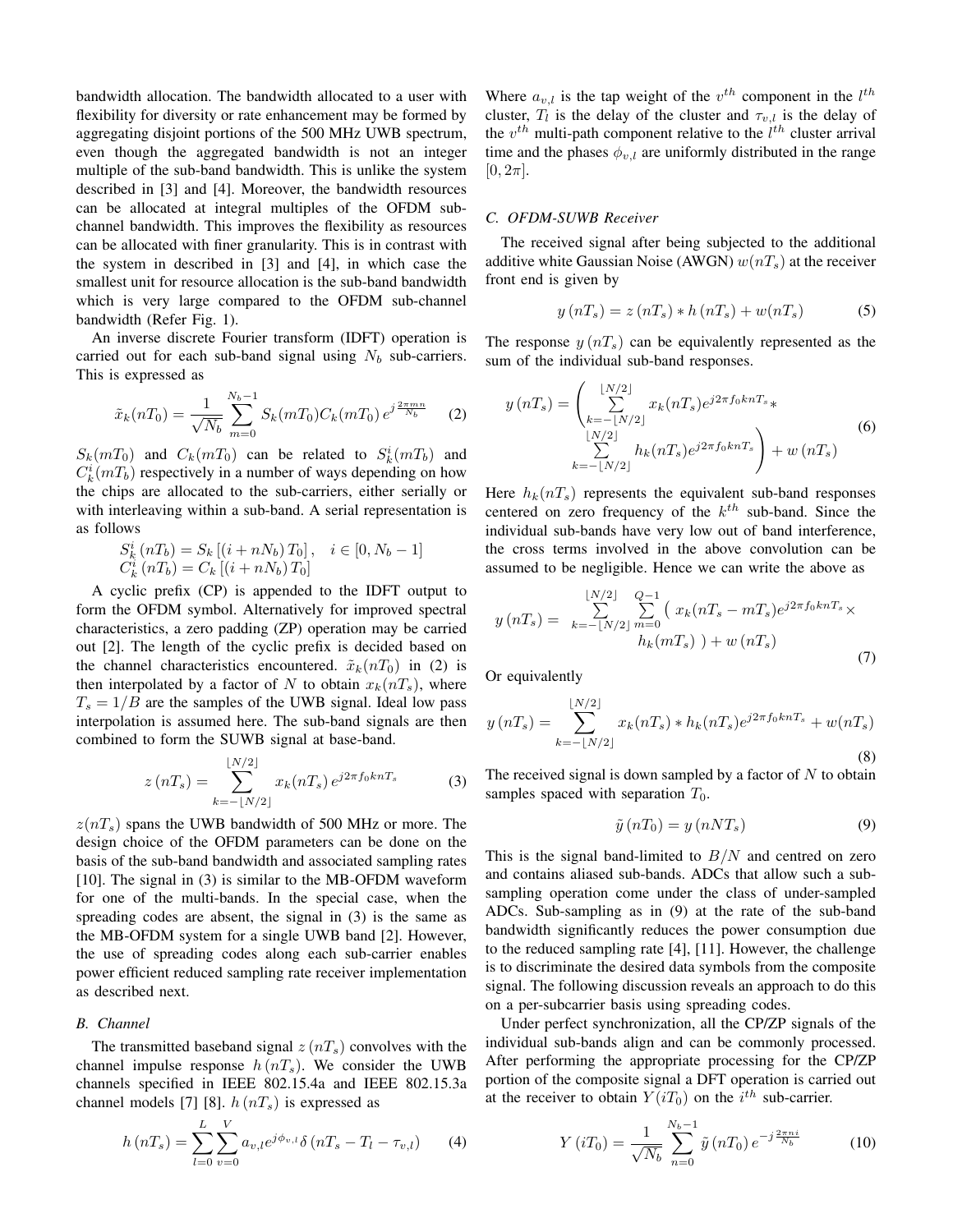bandwidth allocation. The bandwidth allocated to a user with flexibility for diversity or rate enhancement may be formed by aggregating disjoint portions of the 500 MHz UWB spectrum, even though the aggregated bandwidth is not an integer multiple of the sub-band bandwidth. This is unlike the system described in [3] and [4]. Moreover, the bandwidth resources can be allocated at integral multiples of the OFDM subchannel bandwidth. This improves the flexibility as resources can be allocated with finer granularity. This is in contrast with the system in described in [3] and [4], in which case the smallest unit for resource allocation is the sub-band bandwidth which is very large compared to the OFDM sub-channel bandwidth (Refer Fig. 1).

An inverse discrete Fourier transform (IDFT) operation is carried out for each sub-band signal using  $N_b$  sub-carriers. This is expressed as

$$
\tilde{x}_k(nT_0) = \frac{1}{\sqrt{N_b}} \sum_{m=0}^{N_b - 1} S_k(mT_0) C_k(mT_0) e^{j\frac{2\pi mn}{N_b}} \tag{2}
$$

 $S_k(mT_0)$  and  $C_k(mT_0)$  can be related to  $S_k^i(mT_b)$  and  $C_k^i(mT_b)$  respectively in a number of ways depending on how the chips are allocated to the sub-carriers, either serially or with interleaving within a sub-band. A serial representation is as follows

$$
S_k^i(nT_b) = S_k [(i + nN_b) T_0], \quad i \in [0, N_b - 1]
$$
  

$$
C_k^i(nT_b) = C_k [(i + nN_b) T_0]
$$

A cyclic prefix (CP) is appended to the IDFT output to form the OFDM symbol. Alternatively for improved spectral characteristics, a zero padding (ZP) operation may be carried out [2]. The length of the cyclic prefix is decided based on the channel characteristics encountered.  $\tilde{x}_k(nT_0)$  in (2) is then interpolated by a factor of N to obtain  $x_k(nT_s)$ , where  $T_s = 1/B$  are the samples of the UWB signal. Ideal low pass interpolation is assumed here. The sub-band signals are then combined to form the SUWB signal at base-band.

$$
z(nT_s) = \sum_{k=-\lfloor N/2 \rfloor}^{\lfloor N/2 \rfloor} x_k(nT_s) e^{j2\pi f_0 k n T_s}
$$
 (3)

 $z(nT<sub>s</sub>)$  spans the UWB bandwidth of 500 MHz or more. The design choice of the OFDM parameters can be done on the basis of the sub-band bandwidth and associated sampling rates [10]. The signal in (3) is similar to the MB-OFDM waveform for one of the multi-bands. In the special case, when the spreading codes are absent, the signal in (3) is the same as the MB-OFDM system for a single UWB band [2]. However, the use of spreading codes along each sub-carrier enables power efficient reduced sampling rate receiver implementation as described next.

#### *B. Channel*

The transmitted baseband signal  $z(nT<sub>s</sub>)$  convolves with the channel impulse response  $h(nT<sub>s</sub>)$ . We consider the UWB channels specified in IEEE 802.15.4a and IEEE 802.15.3a channel models [7] [8].  $h(nT<sub>s</sub>)$  is expressed as

$$
h(nT_s) = \sum_{l=0}^{L} \sum_{v=0}^{V} a_{v,l} e^{j\phi_{v,l}} \delta(nT_s - T_l - \tau_{v,l})
$$
 (4)

Where  $a_{v,l}$  is the tap weight of the  $v^{th}$  component in the  $l^{th}$ cluster,  $T_l$  is the delay of the cluster and  $\tau_{v,l}$  is the delay of the  $v^{th}$  multi-path component relative to the  $l^{th}$  cluster arrival time and the phases  $\phi_{v,l}$  are uniformly distributed in the range  $[0, 2\pi]$ .

#### *C. OFDM-SUWB Receiver*

The received signal after being subjected to the additional additive white Gaussian Noise (AWGN)  $w(nT<sub>s</sub>)$  at the receiver front end is given by

$$
y(nT_s) = z(nT_s) * h(nT_s) + w(nT_s)
$$
\n(5)

The response  $y(nT<sub>s</sub>)$  can be equivalently represented as the sum of the individual sub-band responses.

$$
y(nT_s) = \left(\sum_{k=-\lfloor N/2 \rfloor}^{\lfloor N/2 \rfloor} x_k(nT_s)e^{j2\pi f_0knT_s} * \sum_{\substack{\lfloor N/2 \rfloor \\ k=-\lfloor N/2 \rfloor}}^{\lfloor N/2 \rfloor} h_k(nT_s)e^{j2\pi f_0knT_s} \right) + w(nT_s)
$$
(6)

Here  $h_k(nT_s)$  represents the equivalent sub-band responses centered on zero frequency of the  $k^{th}$  sub-band. Since the individual sub-bands have very low out of band interference, the cross terms involved in the above convolution can be assumed to be negligible. Hence we can write the above as

$$
y(nT_s) = \sum_{k=-\lfloor N/2 \rfloor}^{\lfloor N/2 \rfloor} \sum_{m=0}^{Q-1} \left( x_k (nT_s - mT_s) e^{j2\pi f_0 k nT_s} \times h_k (mT_s) \right) + w(nT_s)
$$
\n(7)

Or equivalently

$$
y(nT_s) = \sum_{k=-\lfloor N/2 \rfloor}^{\lfloor N/2 \rfloor} x_k(nT_s) * h_k(nT_s)e^{j2\pi f_0 k nT_s} + w(nT_s)
$$
\n(8)

The received signal is down sampled by a factor of  $N$  to obtain samples spaced with separation  $T_0$ .

$$
\tilde{y}(nT_0) = y(nNT_s) \tag{9}
$$

This is the signal band-limited to  $B/N$  and centred on zero and contains aliased sub-bands. ADCs that allow such a subsampling operation come under the class of under-sampled ADCs. Sub-sampling as in (9) at the rate of the sub-band bandwidth significantly reduces the power consumption due to the reduced sampling rate [4], [11]. However, the challenge is to discriminate the desired data symbols from the composite signal. The following discussion reveals an approach to do this on a per-subcarrier basis using spreading codes.

Under perfect synchronization, all the CP/ZP signals of the individual sub-bands align and can be commonly processed. After performing the appropriate processing for the CP/ZP portion of the composite signal a DFT operation is carried out at the receiver to obtain  $Y(iT_0)$  on the  $i^{th}$  sub-carrier.

$$
Y(iT_0) = \frac{1}{\sqrt{N_b}} \sum_{n=0}^{N_b - 1} \tilde{y}(nT_0) e^{-j\frac{2\pi n i}{N_b}}
$$
(10)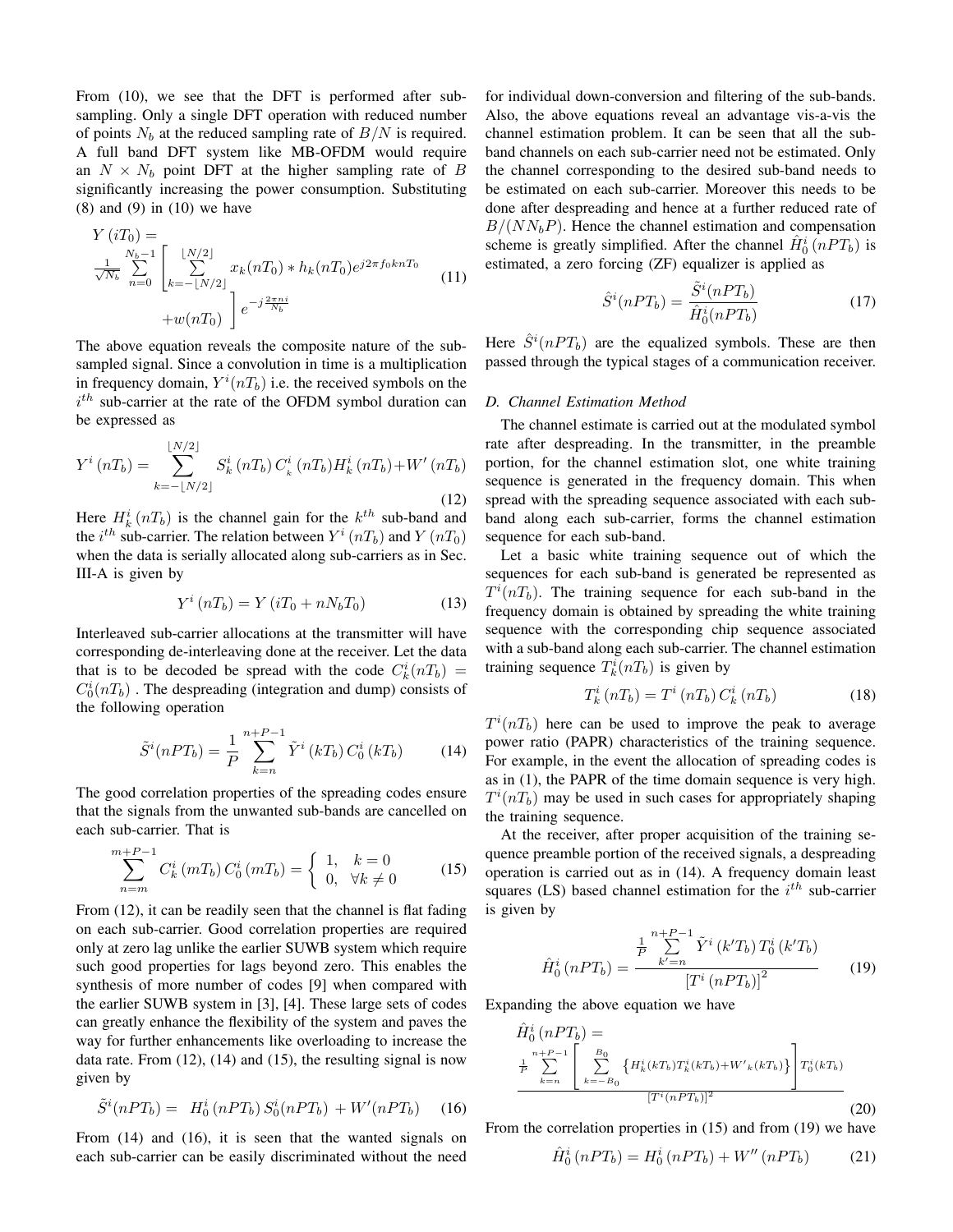From (10), we see that the DFT is performed after subsampling. Only a single DFT operation with reduced number of points  $N_b$  at the reduced sampling rate of  $B/N$  is required. A full band DFT system like MB-OFDM would require an  $N \times N_b$  point DFT at the higher sampling rate of B significantly increasing the power consumption. Substituting  $(8)$  and  $(9)$  in  $(10)$  we have

$$
Y(iT_0) = \frac{N_b - 1}{\sqrt{N_b}} \sum_{n=0}^{N_b - 1} \left[ \sum_{k=-\lfloor N/2 \rfloor}^{\lfloor N/2 \rfloor} x_k(nT_0) * h_k(nT_0) e^{j2\pi f_0 k n T_0} + w(nT_0) \right] e^{-j\frac{2\pi n i}{N_b}}
$$
(11)

The above equation reveals the composite nature of the subsampled signal. Since a convolution in time is a multiplication in frequency domain,  $Y^i(nT_b)$  i.e. the received symbols on the  $i^{th}$  sub-carrier at the rate of the OFDM symbol duration can be expressed as

$$
Y^{i}(nT_{b}) = \sum_{k=-\lfloor N/2 \rfloor}^{\lfloor N/2 \rfloor} S_{k}^{i}(nT_{b}) C_{k}^{i}(nT_{b}) H_{k}^{i}(nT_{b}) + W'(nT_{b})
$$
\n(12)

Here  $H_k^i(nT_b)$  is the channel gain for the  $k^{th}$  sub-band and the  $i^{th}$  sub-carrier. The relation between  $Y^i$   $(nT_b)$  and  $Y$   $(nT_0)$ when the data is serially allocated along sub-carriers as in Sec. III-A is given by

$$
Y^i(nT_b) = Y(iT_0 + nN_bT_0)
$$
\n(13)

Interleaved sub-carrier allocations at the transmitter will have corresponding de-interleaving done at the receiver. Let the data that is to be decoded be spread with the code  $C_k^i(nT_b)$  =  $C_0^i(nT_b)$  . The despreading (integration and dump) consists of the following operation

$$
\tilde{S}^{i}(nPT_b) = \frac{1}{P} \sum_{k=n}^{n+P-1} \tilde{Y}^{i}(kT_b) C_0^{i}(kT_b)
$$
 (14)

The good correlation properties of the spreading codes ensure that the signals from the unwanted sub-bands are cancelled on each sub-carrier. That is

$$
\sum_{n=m}^{m+P-1} C_k^i (mT_b) C_0^i (mT_b) = \begin{cases} 1, & k = 0 \\ 0, & \forall k \neq 0 \end{cases}
$$
 (15)

From (12), it can be readily seen that the channel is flat fading on each sub-carrier. Good correlation properties are required only at zero lag unlike the earlier SUWB system which require such good properties for lags beyond zero. This enables the synthesis of more number of codes [9] when compared with the earlier SUWB system in [3], [4]. These large sets of codes can greatly enhance the flexibility of the system and paves the way for further enhancements like overloading to increase the data rate. From  $(12)$ ,  $(14)$  and  $(15)$ , the resulting signal is now given by

$$
\tilde{S}^i(nPT_b) = H_0^i(nPT_b) S_0^i(nPT_b) + W'(nPT_b) \quad (16)
$$

From (14) and (16), it is seen that the wanted signals on each sub-carrier can be easily discriminated without the need for individual down-conversion and filtering of the sub-bands. Also, the above equations reveal an advantage vis-a-vis the channel estimation problem. It can be seen that all the subband channels on each sub-carrier need not be estimated. Only the channel corresponding to the desired sub-band needs to be estimated on each sub-carrier. Moreover this needs to be done after despreading and hence at a further reduced rate of  $B/(NN<sub>b</sub>P)$ . Hence the channel estimation and compensation scheme is greatly simplified. After the channel  $\hat{H}_0^i$  ( $nPT_b$ ) is estimated, a zero forcing (ZF) equalizer is applied as

$$
\hat{S}^i(nPT_b) = \frac{\tilde{S}^i(nPT_b)}{\hat{H}_0^i(nPT_b)}\tag{17}
$$

Here  $\hat{S}^{i}(nPT_b)$  are the equalized symbols. These are then passed through the typical stages of a communication receiver.

#### *D. Channel Estimation Method*

The channel estimate is carried out at the modulated symbol rate after despreading. In the transmitter, in the preamble portion, for the channel estimation slot, one white training sequence is generated in the frequency domain. This when spread with the spreading sequence associated with each subband along each sub-carrier, forms the channel estimation sequence for each sub-band.

Let a basic white training sequence out of which the sequences for each sub-band is generated be represented as  $T^{i}(nT_b)$ . The training sequence for each sub-band in the frequency domain is obtained by spreading the white training sequence with the corresponding chip sequence associated with a sub-band along each sub-carrier. The channel estimation training sequence  $T_k^i(nT_b)$  is given by

$$
T_k^i\left(nT_b\right) = T^i\left(nT_b\right)C_k^i\left(nT_b\right) \tag{18}
$$

 $T^i(nT_b)$  here can be used to improve the peak to average power ratio (PAPR) characteristics of the training sequence. For example, in the event the allocation of spreading codes is as in (1), the PAPR of the time domain sequence is very high.  $T^i(nT_b)$  may be used in such cases for appropriately shaping the training sequence.

At the receiver, after proper acquisition of the training sequence preamble portion of the received signals, a despreading operation is carried out as in (14). A frequency domain least squares (LS) based channel estimation for the  $i^{th}$  sub-carrier is given by

$$
\hat{H}_0^i(nPT_b) = \frac{\frac{1}{P} \sum_{k'=n}^{n+P-1} \tilde{Y}^i(k'T_b) T_0^i(k'T_b)}{\left[T^i(nPT_b)\right]^2}
$$
(19)

Expanding the above equation we have

$$
\hat{H}_0^i(nPT_b) = \frac{\sum_{k=n}^{n+P-1} \left[ \sum_{k=-B_0}^{B_0} \left\{ H_k^i(kT_b) T_k^i(kT_b) + W_{k'}^i(kT_b) \right\} \right] T_0^i(kT_b)}{[T^i(nPT_b)]^2}
$$

From the correlation properties in  $(15)$  and from  $(19)$  we have

$$
\hat{H}_0^i(nPT_b) = H_0^i(nPT_b) + W''(nPT_b)
$$
 (21)

(20)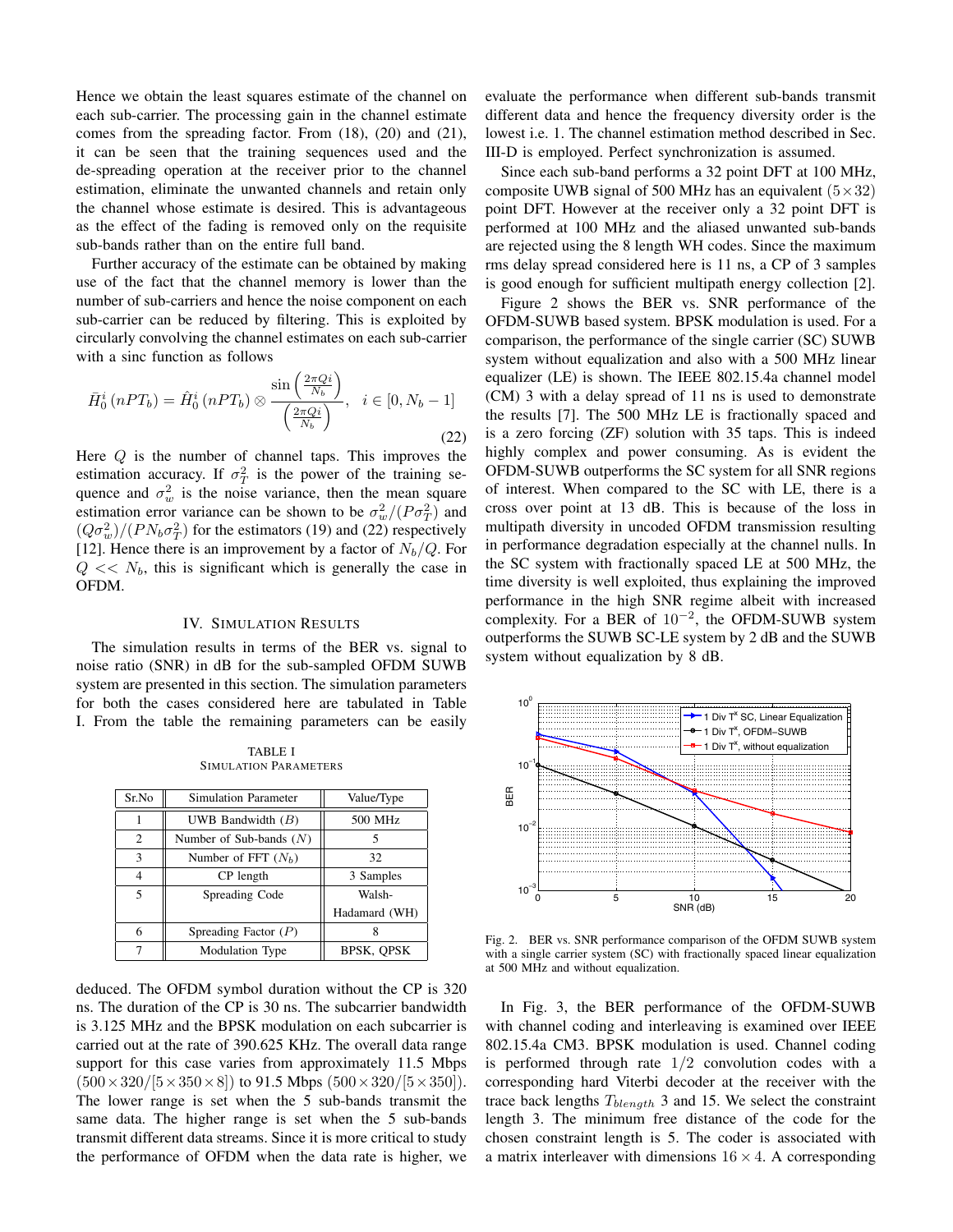Hence we obtain the least squares estimate of the channel on each sub-carrier. The processing gain in the channel estimate comes from the spreading factor. From (18), (20) and (21), it can be seen that the training sequences used and the de-spreading operation at the receiver prior to the channel estimation, eliminate the unwanted channels and retain only the channel whose estimate is desired. This is advantageous as the effect of the fading is removed only on the requisite sub-bands rather than on the entire full band.

Further accuracy of the estimate can be obtained by making use of the fact that the channel memory is lower than the number of sub-carriers and hence the noise component on each sub-carrier can be reduced by filtering. This is exploited by circularly convolving the channel estimates on each sub-carrier with a sinc function as follows

$$
\bar{H}_0^i(nPT_b) = \hat{H}_0^i(nPT_b) \otimes \frac{\sin\left(\frac{2\pi Qi}{N_b}\right)}{\left(\frac{2\pi Qi}{N_b}\right)}, \quad i \in [0, N_b - 1]
$$
\n(22)

Here  $Q$  is the number of channel taps. This improves the estimation accuracy. If  $\sigma_T^2$  is the power of the training sequence and  $\sigma_w^2$  is the noise variance, then the mean square estimation error variance can be shown to be  $\sigma_w^2/(P\sigma_T^2)$  and  $(Q\sigma_w^2)/(PN_b\sigma_T^2)$  for the estimators (19) and (22) respectively [12]. Hence there is an improvement by a factor of  $N_b/Q$ . For  $Q \ll N_b$ , this is significant which is generally the case in OFDM.

#### IV. SIMULATION RESULTS

The simulation results in terms of the BER vs. signal to noise ratio (SNR) in dB for the sub-sampled OFDM SUWB system are presented in this section. The simulation parameters for both the cases considered here are tabulated in Table I. From the table the remaining parameters can be easily

TABLE I SIMULATION PARAMETERS

| Sr.No | Simulation Parameter      | Value/Type    |
|-------|---------------------------|---------------|
|       | UWB Bandwidth $(B)$       | 500 MHz       |
| 2     | Number of Sub-bands $(N)$ |               |
| 3     | Number of FFT $(N_h)$     | 32            |
| 4     | CP length                 | 3 Samples     |
| 5     | Spreading Code            | Walsh-        |
|       |                           | Hadamard (WH) |
| 6     | Spreading Factor $(P)$    |               |
|       | Modulation Type           | BPSK, QPSK    |

deduced. The OFDM symbol duration without the CP is 320 ns. The duration of the CP is 30 ns. The subcarrier bandwidth is 3.125 MHz and the BPSK modulation on each subcarrier is carried out at the rate of 390.625 KHz. The overall data range support for this case varies from approximately 11.5 Mbps  $(500 \times 320/[5 \times 350 \times 8])$  to 91.5 Mbps  $(500 \times 320/[5 \times 350])$ . The lower range is set when the 5 sub-bands transmit the same data. The higher range is set when the 5 sub-bands transmit different data streams. Since it is more critical to study the performance of OFDM when the data rate is higher, we evaluate the performance when different sub-bands transmit different data and hence the frequency diversity order is the lowest i.e. 1. The channel estimation method described in Sec. III-D is employed. Perfect synchronization is assumed.

Since each sub-band performs a 32 point DFT at 100 MHz, composite UWB signal of 500 MHz has an equivalent  $(5 \times 32)$ point DFT. However at the receiver only a 32 point DFT is performed at 100 MHz and the aliased unwanted sub-bands are rejected using the 8 length WH codes. Since the maximum rms delay spread considered here is 11 ns, a CP of 3 samples is good enough for sufficient multipath energy collection [2].

Figure 2 shows the BER vs. SNR performance of the OFDM-SUWB based system. BPSK modulation is used. For a comparison, the performance of the single carrier (SC) SUWB system without equalization and also with a 500 MHz linear equalizer (LE) is shown. The IEEE 802.15.4a channel model (CM) 3 with a delay spread of 11 ns is used to demonstrate the results [7]. The 500 MHz LE is fractionally spaced and is a zero forcing (ZF) solution with 35 taps. This is indeed highly complex and power consuming. As is evident the OFDM-SUWB outperforms the SC system for all SNR regions of interest. When compared to the SC with LE, there is a cross over point at 13 dB. This is because of the loss in multipath diversity in uncoded OFDM transmission resulting in performance degradation especially at the channel nulls. In the SC system with fractionally spaced LE at 500 MHz, the time diversity is well exploited, thus explaining the improved performance in the high SNR regime albeit with increased complexity. For a BER of  $10^{-2}$ , the OFDM-SUWB system outperforms the SUWB SC-LE system by 2 dB and the SUWB system without equalization by 8 dB.



Fig. 2. BER vs. SNR performance comparison of the OFDM SUWB system with a single carrier system (SC) with fractionally spaced linear equalization at 500 MHz and without equalization.

In Fig. 3, the BER performance of the OFDM-SUWB with channel coding and interleaving is examined over IEEE 802.15.4a CM3. BPSK modulation is used. Channel coding is performed through rate 1/2 convolution codes with a corresponding hard Viterbi decoder at the receiver with the trace back lengths  $T_{blength}$  3 and 15. We select the constraint length 3. The minimum free distance of the code for the chosen constraint length is 5. The coder is associated with a matrix interleaver with dimensions  $16 \times 4$ . A corresponding